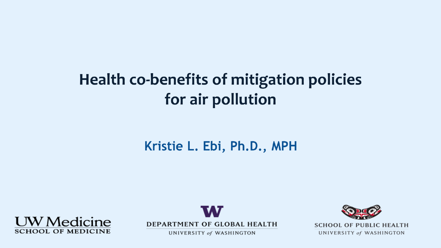### **Health co-benefits of mitigation policies** for air pollution

#### Kristie L. Ebi, Ph.D., MPH





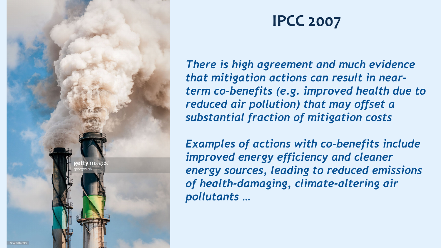

#### **IPCC 2007**

*There is high agreement and much evidence that mitigation actions can result in nearterm co-benefits (e.g. improved health due to reduced air pollution) that may offset a substantial fraction of mitigation costs*

*Examples of actions with co-benefits include improved energy efficiency and cleaner energy sources, leading to reduced emissions of health-damaging, climate-altering air pollutants …*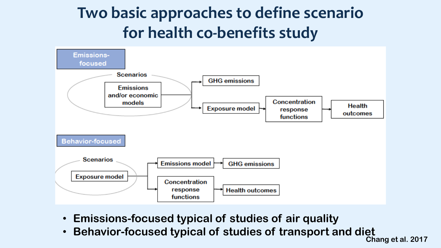## **Two basic approaches to define scenario for health co-benefits study**



- **Emissions-focused typical of studies of air quality**
- **Behavior-focused typical of studies of transport and diet Chang et al. 2017**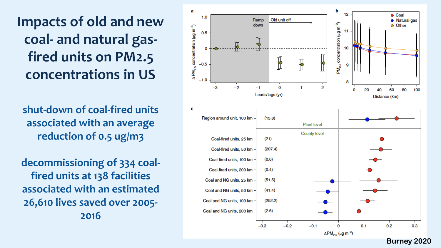**Impacts of old and new coal - and natural gas fired units on PM2.5 concentrations in US** 

shut-down of coal-fired units **associated with an average reduction of 0.5 ug/m3**

**decommissioning of 334 coal fired units at 138 facilities associated with an estimated 26,610 lives saved over 2005 - 2016**



**Burney 2020**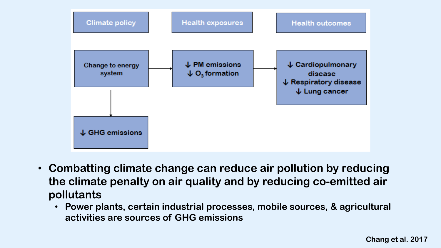

- **Combatting climate change can reduce air pollution by reducing the climate penalty on air quality and by reducing co-emitted air pollutants**
	- **Power plants, certain industrial processes, mobile sources, & agricultural activities are sources of GHG emissions**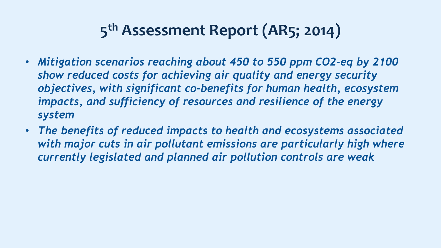# **5th Assessment Report (AR5; 2014)**

- *Mitigation scenarios reaching about 450 to 550 ppm CO2-eq by 2100 show reduced costs for achieving air quality and energy security objectives, with significant co-benefits for human health, ecosystem impacts, and sufficiency of resources and resilience of the energy system*
- *The benefits of reduced impacts to health and ecosystems associated with major cuts in air pollutant emissions are particularly high where currently legislated and planned air pollution controls are weak*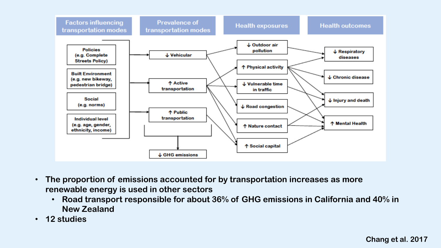

- **The proportion of emissions accounted for by transportation increases as more renewable energy is used in other sectors**
	- **Road transport responsible for about 36% of GHG emissions in California and 40% in New Zealand**
- **12 studies**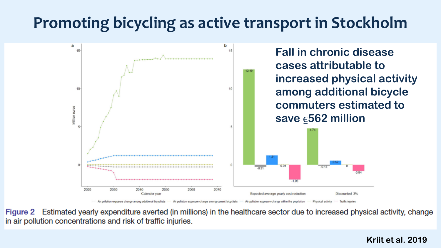### **Promoting bicycling as active transport in Stockholm**



- Air pollution exposure change among additional bicyclists Air pollution exposure change among current bicyclists - Air pollution exposure change within the population Physical activity - Traffic injuries

Figure 2 Estimated yearly expenditure averted (in millions) in the healthcare sector due to increased physical activity, change in air pollution concentrations and risk of traffic injuries.

#### **Kriit et al. 2019**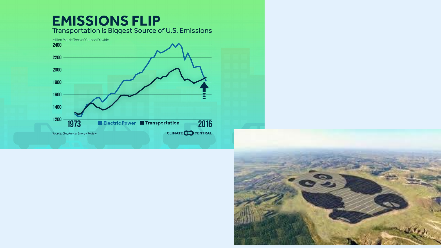

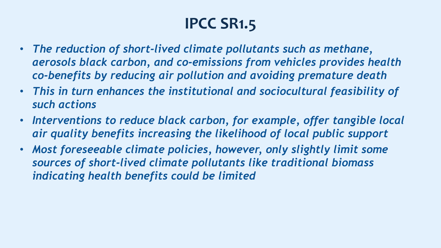# **IPCC SR1.5**

- *The reduction of short-lived climate pollutants such as methane, aerosols black carbon, and co-emissions from vehicles provides health co-benefits by reducing air pollution and avoiding premature death*
- *This in turn enhances the institutional and sociocultural feasibility of such actions*
- *Interventions to reduce black carbon, for example, offer tangible local air quality benefits increasing the likelihood of local public support*
- *Most foreseeable climate policies, however, only slightly limit some sources of short-lived climate pollutants like traditional biomass indicating health benefits could be limited*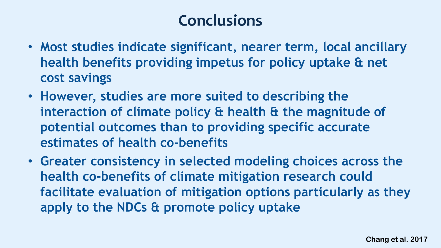#### **Conclusions**

- **Most studies indicate significant, nearer term, local ancillary health benefits providing impetus for policy uptake & net cost savings**
- **However, studies are more suited to describing the interaction of climate policy & health & the magnitude of potential outcomes than to providing specific accurate estimates of health co-benefits**
- **Greater consistency in selected modeling choices across the health co-benefits of climate mitigation research could facilitate evaluation of mitigation options particularly as they apply to the NDCs & promote policy uptake**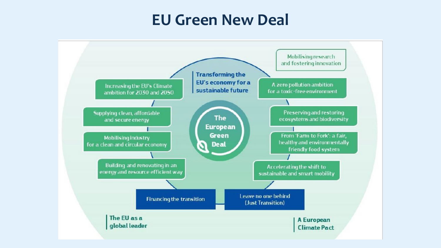#### **EU Green New Deal**